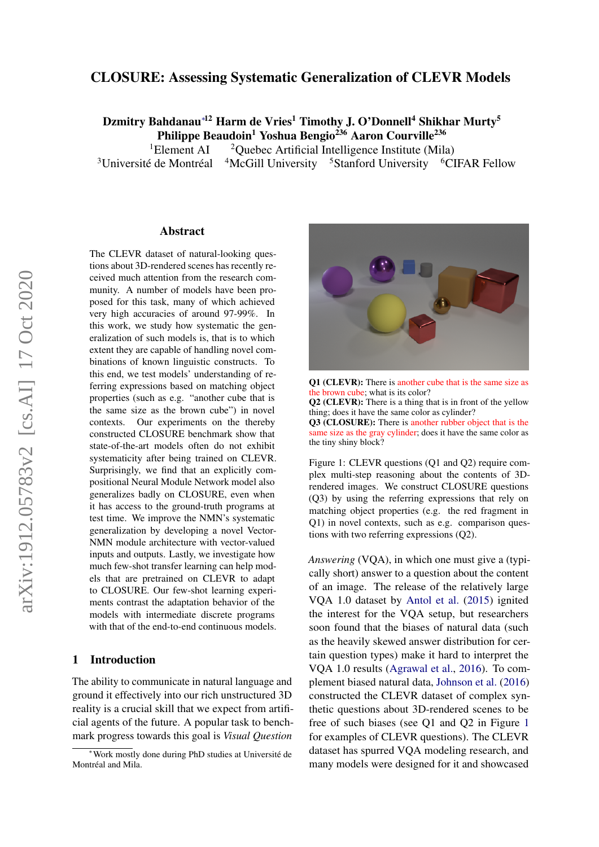### CLOSURE: Assessing Systematic Generalization of CLEVR Models

Dzmitry Bahdanau<sup>\*12</sup> Harm de Vries<sup>1</sup> Timothy J. O'Donnell<sup>4</sup> Shikhar Murty<sup>5</sup> Philippe Beaudoin<sup>1</sup> Yoshua Bengio<sup>236</sup> Aaron Courville<sup>236</sup>

<sup>1</sup>Element AI  $\frac{2Q}{2Q}$  <sup>2</sup>Ouebec Artificial Intelligence Institute (Mila)  $3$ Université de Montréal <sup>4</sup>McGill University <sup>5</sup>Stanford University <sup>6</sup>CIFAR Fellow

#### Abstract

The CLEVR dataset of natural-looking questions about 3D-rendered scenes has recently received much attention from the research community. A number of models have been proposed for this task, many of which achieved very high accuracies of around 97-99%. In this work, we study how systematic the generalization of such models is, that is to which extent they are capable of handling novel combinations of known linguistic constructs. To this end, we test models' understanding of referring expressions based on matching object properties (such as e.g. "another cube that is the same size as the brown cube") in novel contexts. Our experiments on the thereby constructed CLOSURE benchmark show that state-of-the-art models often do not exhibit systematicity after being trained on CLEVR. Surprisingly, we find that an explicitly compositional Neural Module Network model also generalizes badly on CLOSURE, even when it has access to the ground-truth programs at test time. We improve the NMN's systematic generalization by developing a novel Vector-NMN module architecture with vector-valued inputs and outputs. Lastly, we investigate how much few-shot transfer learning can help models that are pretrained on CLEVR to adapt to CLOSURE. Our few-shot learning experiments contrast the adaptation behavior of the models with intermediate discrete programs with that of the end-to-end continuous models.

#### 1 Introduction

The ability to communicate in natural language and ground it effectively into our rich unstructured 3D reality is a crucial skill that we expect from artificial agents of the future. A popular task to benchmark progress towards this goal is *Visual Question*

<span id="page-0-0"></span>

Q1 (CLEVR): There is another cube that is the same size as the brown cube; what is its color? Q2 (CLEVR): There is a thing that is in front of the yellow thing; does it have the same color as cylinder? Q3 (CLOSURE): There is another rubber object that is the same size as the gray cylinder; does it have the same color as the tiny shiny block?

Figure 1: CLEVR questions (Q1 and Q2) require complex multi-step reasoning about the contents of 3Drendered images. We construct CLOSURE questions (Q3) by using the referring expressions that rely on matching object properties (e.g. the red fragment in Q1) in novel contexts, such as e.g. comparison questions with two referring expressions (Q2).

*Answering* (VQA), in which one must give a (typically short) answer to a question about the content of an image. The release of the relatively large VQA 1.0 dataset by [Antol et al.](#page-8-0) [\(2015\)](#page-8-0) ignited the interest for the VQA setup, but researchers soon found that the biases of natural data (such as the heavily skewed answer distribution for certain question types) make it hard to interpret the VQA 1.0 results [\(Agrawal et al.,](#page-8-1) [2016\)](#page-8-1). To complement biased natural data, [Johnson et al.](#page-8-2) [\(2016\)](#page-8-2) constructed the CLEVR dataset of complex synthetic questions about 3D-rendered scenes to be free of such biases (see Q1 and Q2 in Figure [1](#page-0-0) for examples of CLEVR questions). The CLEVR dataset has spurred VQA modeling research, and many models were designed for it and showcased

<sup>∗</sup>Work mostly done during PhD studies at Universite de ´ Montréal and Mila.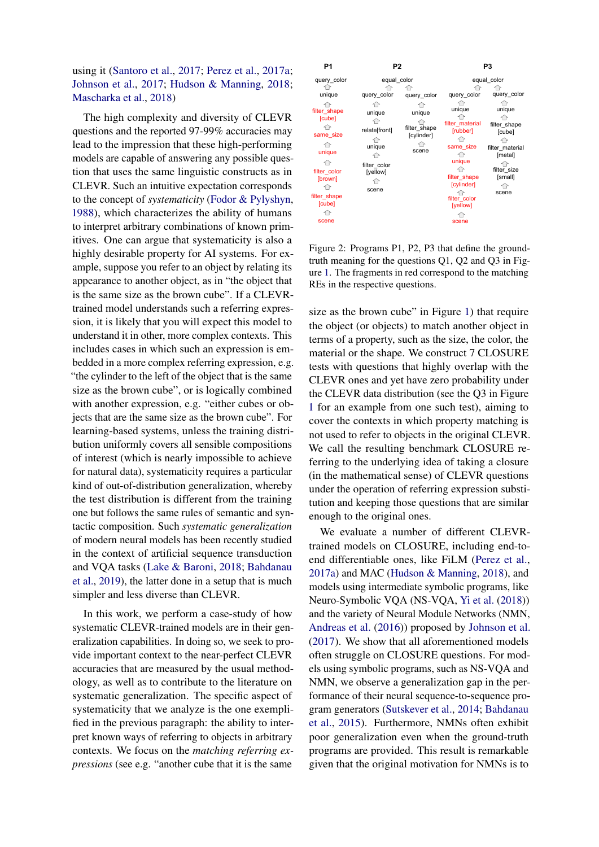using it [\(Santoro et al.,](#page-9-0) [2017;](#page-9-0) [Perez et al.,](#page-9-1) [2017a;](#page-9-1) [Johnson et al.,](#page-8-3) [2017;](#page-8-3) [Hudson & Manning,](#page-8-4) [2018;](#page-8-4) [Mascharka et al.,](#page-9-2) [2018\)](#page-9-2)

The high complexity and diversity of CLEVR questions and the reported 97-99% accuracies may lead to the impression that these high-performing models are capable of answering any possible question that uses the same linguistic constructs as in CLEVR. Such an intuitive expectation corresponds to the concept of *systematicity* [\(Fodor & Pylyshyn,](#page-8-5) [1988\)](#page-8-5), which characterizes the ability of humans to interpret arbitrary combinations of known primitives. One can argue that systematicity is also a highly desirable property for AI systems. For example, suppose you refer to an object by relating its appearance to another object, as in "the object that is the same size as the brown cube". If a CLEVRtrained model understands such a referring expression, it is likely that you will expect this model to understand it in other, more complex contexts. This includes cases in which such an expression is embedded in a more complex referring expression, e.g. "the cylinder to the left of the object that is the same size as the brown cube", or is logically combined with another expression, e.g. "either cubes or objects that are the same size as the brown cube". For learning-based systems, unless the training distribution uniformly covers all sensible compositions of interest (which is nearly impossible to achieve for natural data), systematicity requires a particular kind of out-of-distribution generalization, whereby the test distribution is different from the training one but follows the same rules of semantic and syntactic composition. Such *systematic generalization* of modern neural models has been recently studied in the context of artificial sequence transduction and VQA tasks [\(Lake & Baroni,](#page-8-6) [2018;](#page-8-6) [Bahdanau](#page-8-7) [et al.,](#page-8-7) [2019\)](#page-8-7), the latter done in a setup that is much simpler and less diverse than CLEVR.

In this work, we perform a case-study of how systematic CLEVR-trained models are in their generalization capabilities. In doing so, we seek to provide important context to the near-perfect CLEVR accuracies that are measured by the usual methodology, as well as to contribute to the literature on systematic generalization. The specific aspect of systematicity that we analyze is the one exemplified in the previous paragraph: the ability to interpret known ways of referring to objects in arbitrary contexts. We focus on the *matching referring expressions* (see e.g. "another cube that it is the same

<span id="page-1-0"></span>

Figure 2: Programs P1, P2, P3 that define the groundtruth meaning for the questions Q1, Q2 and Q3 in Figure [1.](#page-0-0) The fragments in red correspond to the matching REs in the respective questions.

size as the brown cube" in Figure [1\)](#page-0-0) that require the object (or objects) to match another object in terms of a property, such as the size, the color, the material or the shape. We construct 7 CLOSURE tests with questions that highly overlap with the CLEVR ones and yet have zero probability under the CLEVR data distribution (see the Q3 in Figure [1](#page-0-0) for an example from one such test), aiming to cover the contexts in which property matching is not used to refer to objects in the original CLEVR. We call the resulting benchmark CLOSURE referring to the underlying idea of taking a closure (in the mathematical sense) of CLEVR questions under the operation of referring expression substitution and keeping those questions that are similar enough to the original ones.

We evaluate a number of different CLEVRtrained models on CLOSURE, including end-toend differentiable ones, like FiLM [\(Perez et al.,](#page-9-1) [2017a\)](#page-9-1) and MAC [\(Hudson & Manning,](#page-8-4) [2018\)](#page-8-4), and models using intermediate symbolic programs, like Neuro-Symbolic VQA (NS-VQA, [Yi et al.](#page-9-3) [\(2018\)](#page-9-3)) and the variety of Neural Module Networks (NMN, [Andreas et al.](#page-8-8) [\(2016\)](#page-8-8)) proposed by [Johnson et al.](#page-8-3) [\(2017\)](#page-8-3). We show that all aforementioned models often struggle on CLOSURE questions. For models using symbolic programs, such as NS-VQA and NMN, we observe a generalization gap in the performance of their neural sequence-to-sequence program generators [\(Sutskever et al.,](#page-9-4) [2014;](#page-9-4) [Bahdanau](#page-8-9) [et al.,](#page-8-9) [2015\)](#page-8-9). Furthermore, NMNs often exhibit poor generalization even when the ground-truth programs are provided. This result is remarkable given that the original motivation for NMNs is to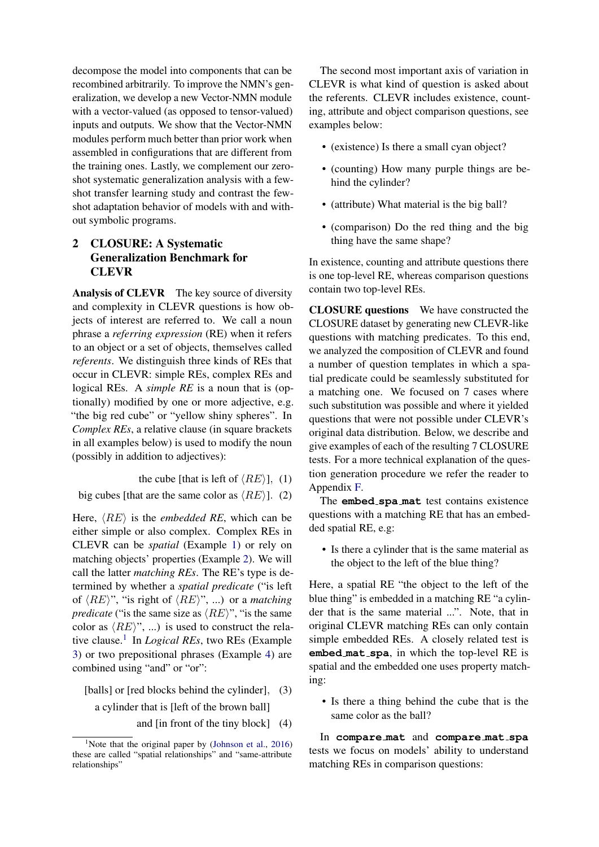decompose the model into components that can be recombined arbitrarily. To improve the NMN's generalization, we develop a new Vector-NMN module with a vector-valued (as opposed to tensor-valued) inputs and outputs. We show that the Vector-NMN modules perform much better than prior work when assembled in configurations that are different from the training ones. Lastly, we complement our zeroshot systematic generalization analysis with a fewshot transfer learning study and contrast the fewshot adaptation behavior of models with and without symbolic programs.

# 2 CLOSURE: A Systematic Generalization Benchmark for CLEVR

Analysis of CLEVR The key source of diversity and complexity in CLEVR questions is how objects of interest are referred to. We call a noun phrase a *referring expression* (RE) when it refers to an object or a set of objects, themselves called *referents*. We distinguish three kinds of REs that occur in CLEVR: simple REs, complex REs and logical REs. A *simple RE* is a noun that is (optionally) modified by one or more adjective, e.g. "the big red cube" or "yellow shiny spheres". In *Complex REs*, a relative clause (in square brackets in all examples below) is used to modify the noun (possibly in addition to adjectives):

the cube [that is left of  $\langle RE \rangle$ ], (1)

big cubes [that are the same color as  $\langle RE \rangle$ ]. (2)

Here,  $\langle RE \rangle$  is the *embedded RE*, which can be either simple or also complex. Complex REs in CLEVR can be *spatial* (Example [1\)](#page-2-0) or rely on matching objects' properties (Example [2\)](#page-2-1). We will call the latter *matching REs*. The RE's type is determined by whether a *spatial predicate* ("is left of  $\langle RE \rangle$ ", "is right of  $\langle RE \rangle$ ", ...) or a *matching predicate* ("is the same size as  $\langle RE \rangle$ ", "is the same color as  $\langle RE \rangle$ ", ...) is used to construct the relative clause.[1](#page-2-2) In *Logical REs*, two REs (Example [3\)](#page-2-3) or two prepositional phrases (Example [4\)](#page-2-4) are combined using "and" or "or":

[balls] or [red blocks behind the cylinder], (3) a cylinder that is [left of the brown ball]

and [in front of the tiny block] (4)

The second most important axis of variation in CLEVR is what kind of question is asked about the referents. CLEVR includes existence, counting, attribute and object comparison questions, see examples below:

- (existence) Is there a small cyan object?
- (counting) How many purple things are behind the cylinder?
- (attribute) What material is the big ball?
- (comparison) Do the red thing and the big thing have the same shape?

In existence, counting and attribute questions there is one top-level RE, whereas comparison questions contain two top-level REs.

CLOSURE questions We have constructed the CLOSURE dataset by generating new CLEVR-like questions with matching predicates. To this end, we analyzed the composition of CLEVR and found a number of question templates in which a spatial predicate could be seamlessly substituted for a matching one. We focused on 7 cases where such substitution was possible and where it yielded questions that were not possible under CLEVR's original data distribution. Below, we describe and give examples of each of the resulting 7 CLOSURE tests. For a more technical explanation of the question generation procedure we refer the reader to Appendix [F.](#page-11-0)

<span id="page-2-1"></span><span id="page-2-0"></span>The **embed spa mat** test contains existence questions with a matching RE that has an embedded spatial RE, e.g:

• Is there a cylinder that is the same material as the object to the left of the blue thing?

Here, a spatial RE "the object to the left of the blue thing" is embedded in a matching RE "a cylinder that is the same material ...". Note, that in original CLEVR matching REs can only contain simple embedded REs. A closely related test is **embed mat spa**, in which the top-level RE is spatial and the embedded one uses property matching:

<span id="page-2-3"></span>• Is there a thing behind the cube that is the same color as the ball?

<span id="page-2-4"></span>In **compare mat** and **compare mat spa** tests we focus on models' ability to understand matching REs in comparison questions:

<span id="page-2-2"></span><sup>&</sup>lt;sup>1</sup>Note that the original paper by [\(Johnson et al.,](#page-8-2) [2016\)](#page-8-2) these are called "spatial relationships" and "same-attribute relationships"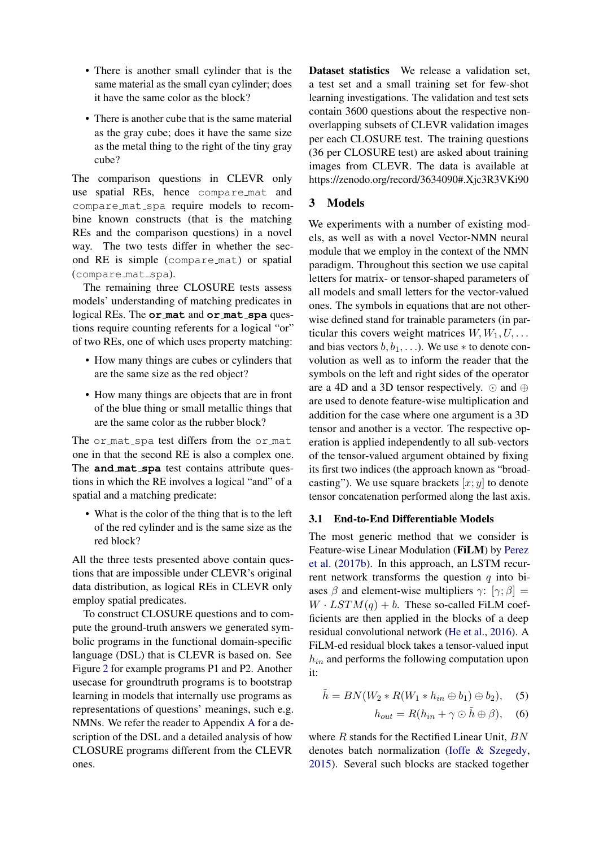- There is another small cylinder that is the same material as the small cyan cylinder; does it have the same color as the block?
- There is another cube that is the same material as the gray cube; does it have the same size as the metal thing to the right of the tiny gray cube?

The comparison questions in CLEVR only use spatial REs, hence compare mat and compare mat spa require models to recombine known constructs (that is the matching REs and the comparison questions) in a novel way. The two tests differ in whether the second RE is simple (compare mat) or spatial (compare\_mat\_spa).

The remaining three CLOSURE tests assess models' understanding of matching predicates in logical REs. The **or mat** and **or mat spa** questions require counting referents for a logical "or" of two REs, one of which uses property matching:

- How many things are cubes or cylinders that are the same size as the red object?
- How many things are objects that are in front of the blue thing or small metallic things that are the same color as the rubber block?

The or mat spa test differs from the or mat one in that the second RE is also a complex one. The **and mat spa** test contains attribute questions in which the RE involves a logical "and" of a spatial and a matching predicate:

• What is the color of the thing that is to the left of the red cylinder and is the same size as the red block?

All the three tests presented above contain questions that are impossible under CLEVR's original data distribution, as logical REs in CLEVR only employ spatial predicates.

To construct CLOSURE questions and to compute the ground-truth answers we generated symbolic programs in the functional domain-specific language (DSL) that is CLEVR is based on. See Figure [2](#page-1-0) for example programs P1 and P2. Another usecase for groundtruth programs is to bootstrap learning in models that internally use programs as representations of questions' meanings, such e.g. NMNs. We refer the reader to Appendix [A](#page-10-0) for a description of the DSL and a detailed analysis of how CLOSURE programs different from the CLEVR ones.

Dataset statistics We release a validation set, a test set and a small training set for few-shot learning investigations. The validation and test sets contain 3600 questions about the respective nonoverlapping subsets of CLEVR validation images per each CLOSURE test. The training questions (36 per CLOSURE test) are asked about training images from CLEVR. The data is available at https://zenodo.org/record/3634090#.Xjc3R3VKi90

### <span id="page-3-0"></span>3 Models

We experiments with a number of existing models, as well as with a novel Vector-NMN neural module that we employ in the context of the NMN paradigm. Throughout this section we use capital letters for matrix- or tensor-shaped parameters of all models and small letters for the vector-valued ones. The symbols in equations that are not otherwise defined stand for trainable parameters (in particular this covers weight matrices  $W, W_1, U, \ldots$ and bias vectors  $b, b_1, \ldots$ ). We use  $*$  to denote convolution as well as to inform the reader that the symbols on the left and right sides of the operator are a 4D and a 3D tensor respectively.  $\odot$  and  $\oplus$ are used to denote feature-wise multiplication and addition for the case where one argument is a 3D tensor and another is a vector. The respective operation is applied independently to all sub-vectors of the tensor-valued argument obtained by fixing its first two indices (the approach known as "broadcasting"). We use square brackets  $[x; y]$  to denote tensor concatenation performed along the last axis.

#### 3.1 End-to-End Differentiable Models

The most generic method that we consider is Feature-wise Linear Modulation (FiLM) by [Perez](#page-9-5) [et al.](#page-9-5) [\(2017b\)](#page-9-5). In this approach, an LSTM recurrent network transforms the question  $q$  into biases  $\beta$  and element-wise multipliers  $\gamma$ :  $[\gamma; \beta] =$  $W \cdot LSTM(q) + b$ . These so-called FiLM coefficients are then applied in the blocks of a deep residual convolutional network [\(He et al.,](#page-8-10) [2016\)](#page-8-10). A FiLM-ed residual block takes a tensor-valued input  $h_{in}$  and performs the following computation upon it:

$$
\tilde{h} = BN(W_2 * R(W_1 * h_{in} \oplus b_1) \oplus b_2), \quad (5)
$$

$$
h_{out} = R(h_{in} + \gamma \odot \tilde{h} \oplus \beta), \quad (6)
$$

where  $R$  stands for the Rectified Linear Unit,  $BN$ denotes batch normalization [\(Ioffe & Szegedy,](#page-8-11) [2015\)](#page-8-11). Several such blocks are stacked together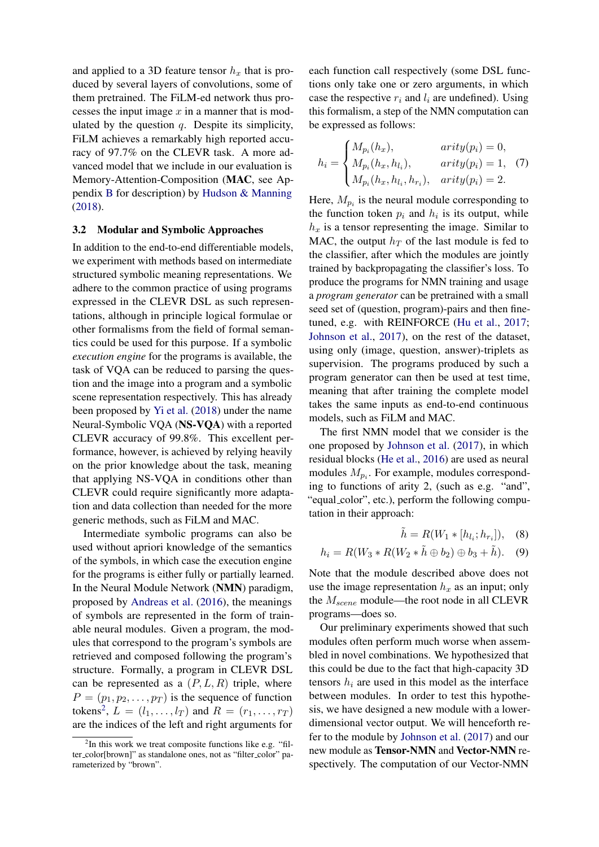and applied to a 3D feature tensor  $h_x$  that is produced by several layers of convolutions, some of them pretrained. The FiLM-ed network thus processes the input image  $x$  in a manner that is modulated by the question  $q$ . Despite its simplicity, FiLM achieves a remarkably high reported accuracy of 97.7% on the CLEVR task. A more advanced model that we include in our evaluation is Memory-Attention-Composition (MAC, see Appendix [B](#page-10-1) for description) by [Hudson & Manning](#page-8-4) [\(2018\)](#page-8-4).

#### 3.2 Modular and Symbolic Approaches

In addition to the end-to-end differentiable models, we experiment with methods based on intermediate structured symbolic meaning representations. We adhere to the common practice of using programs expressed in the CLEVR DSL as such representations, although in principle logical formulae or other formalisms from the field of formal semantics could be used for this purpose. If a symbolic *execution engine* for the programs is available, the task of VQA can be reduced to parsing the question and the image into a program and a symbolic scene representation respectively. This has already been proposed by [Yi et al.](#page-9-3) [\(2018\)](#page-9-3) under the name Neural-Symbolic VQA (NS-VQA) with a reported CLEVR accuracy of 99.8%. This excellent performance, however, is achieved by relying heavily on the prior knowledge about the task, meaning that applying NS-VQA in conditions other than CLEVR could require significantly more adaptation and data collection than needed for the more generic methods, such as FiLM and MAC.

Intermediate symbolic programs can also be used without apriori knowledge of the semantics of the symbols, in which case the execution engine for the programs is either fully or partially learned. In the Neural Module Network (NMN) paradigm, proposed by [Andreas et al.](#page-8-8) [\(2016\)](#page-8-8), the meanings of symbols are represented in the form of trainable neural modules. Given a program, the modules that correspond to the program's symbols are retrieved and composed following the program's structure. Formally, a program in CLEVR DSL can be represented as a  $(P, L, R)$  triple, where  $P = (p_1, p_2, \dots, p_T)$  is the sequence of function tokens<sup>[2](#page-4-0)</sup>,  $L = (l_1, ..., l_T)$  and  $R = (r_1, ..., r_T)$ are the indices of the left and right arguments for

each function call respectively (some DSL functions only take one or zero arguments, in which case the respective  $r_i$  and  $l_i$  are undefined). Using this formalism, a step of the NMN computation can be expressed as follows:

$$
h_i = \begin{cases} M_{p_i}(h_x), & \text{arity}(p_i) = 0, \\ M_{p_i}(h_x, h_{l_i}), & \text{arity}(p_i) = 1, \\ M_{p_i}(h_x, h_{l_i}, h_{r_i}), & \text{arity}(p_i) = 2. \end{cases}
$$
 (7)

Here,  $M_{p_i}$  is the neural module corresponding to the function token  $p_i$  and  $h_i$  is its output, while  $h<sub>x</sub>$  is a tensor representing the image. Similar to MAC, the output  $h_T$  of the last module is fed to the classifier, after which the modules are jointly trained by backpropagating the classifier's loss. To produce the programs for NMN training and usage a *program generator* can be pretrained with a small seed set of (question, program)-pairs and then finetuned, e.g. with REINFORCE [\(Hu et al.,](#page-8-12) [2017;](#page-8-12) [Johnson et al.,](#page-8-3) [2017\)](#page-8-3), on the rest of the dataset, using only (image, question, answer)-triplets as supervision. The programs produced by such a program generator can then be used at test time, meaning that after training the complete model takes the same inputs as end-to-end continuous models, such as FiLM and MAC.

The first NMN model that we consider is the one proposed by [Johnson et al.](#page-8-3) [\(2017\)](#page-8-3), in which residual blocks [\(He et al.,](#page-8-10) [2016\)](#page-8-10) are used as neural modules  $M_{p_i}$ . For example, modules corresponding to functions of arity 2, (such as e.g. "and", "equal\_color", etc.), perform the following computation in their approach:

$$
\tilde{h} = R(W_1 * [h_{l_i}; h_{r_i}]), \quad (8)
$$

$$
h_i = R(W_3 * R(W_2 * \tilde{h} \oplus b_2) \oplus b_3 + \tilde{h}).
$$
 (9)

Note that the module described above does not use the image representation  $h_x$  as an input; only the  $M_{scene}$  module—the root node in all CLEVR programs—does so.

Our preliminary experiments showed that such modules often perform much worse when assembled in novel combinations. We hypothesized that this could be due to the fact that high-capacity 3D tensors  $h_i$  are used in this model as the interface between modules. In order to test this hypothesis, we have designed a new module with a lowerdimensional vector output. We will henceforth refer to the module by [Johnson et al.](#page-8-3) [\(2017\)](#page-8-3) and our new module as Tensor-NMN and Vector-NMN respectively. The computation of our Vector-NMN

<span id="page-4-0"></span><sup>&</sup>lt;sup>2</sup>In this work we treat composite functions like e.g. "filter\_color[brown]" as standalone ones, not as "filter\_color" parameterized by "brown".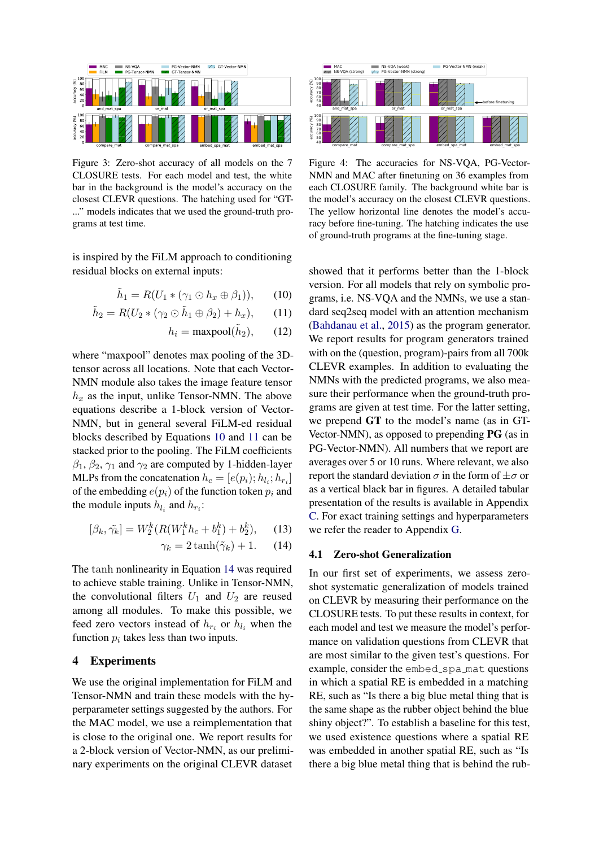<span id="page-5-3"></span>

Figure 3: Zero-shot accuracy of all models on the 7 CLOSURE tests. For each model and test, the white bar in the background is the model's accuracy on the closest CLEVR questions. The hatching used for "GT- ..." models indicates that we used the ground-truth programs at test time.

is inspired by the FiLM approach to conditioning residual blocks on external inputs:

$$
\tilde{h}_1 = R(U_1 * (\gamma_1 \odot h_x \oplus \beta_1)), \qquad (10)
$$

$$
\tilde{h}_2 = R(U_2 * (\gamma_2 \odot \tilde{h}_1 \oplus \beta_2) + h_x), \qquad (11)
$$

$$
h_i = \text{maxpool}(\tilde{h}_2), \qquad (12)
$$

where "maxpool" denotes max pooling of the 3Dtensor across all locations. Note that each Vector-NMN module also takes the image feature tensor  $h_x$  as the input, unlike Tensor-NMN. The above equations describe a 1-block version of Vector-NMN, but in general several FiLM-ed residual blocks described by Equations [10](#page-5-0) and [11](#page-5-1) can be stacked prior to the pooling. The FiLM coefficients  $\beta_1$ ,  $\beta_2$ ,  $\gamma_1$  and  $\gamma_2$  are computed by 1-hidden-layer MLPs from the concatenation  $h_c = [e(p_i); h_{l_i}; h_{r_i}]$ of the embedding  $e(p_i)$  of the function token  $p_i$  and the module inputs  $h_{l_i}$  and  $h_{r_i}$ :

$$
[\beta_k, \tilde{\gamma_k}] = W_2^k (R(W_1^k h_c + b_1^k) + b_2^k), \quad (13)
$$

$$
\gamma_k = 2 \tanh(\tilde{\gamma}_k) + 1. \quad (14)
$$

The tanh nonlinearity in Equation [14](#page-5-2) was required to achieve stable training. Unlike in Tensor-NMN, the convolutional filters  $U_1$  and  $U_2$  are reused among all modules. To make this possible, we feed zero vectors instead of  $h_{r_i}$  or  $h_{l_i}$  when the function  $p_i$  takes less than two inputs.

### 4 Experiments

We use the original implementation for FiLM and Tensor-NMN and train these models with the hyperparameter settings suggested by the authors. For the MAC model, we use a reimplementation that is close to the original one. We report results for a 2-block version of Vector-NMN, as our preliminary experiments on the original CLEVR dataset

<span id="page-5-4"></span>

Figure 4: The accuracies for NS-VQA, PG-Vector-NMN and MAC after finetuning on 36 examples from each CLOSURE family. The background white bar is the model's accuracy on the closest CLEVR questions. The yellow horizontal line denotes the model's accuracy before fine-tuning. The hatching indicates the use of ground-truth programs at the fine-tuning stage.

<span id="page-5-1"></span><span id="page-5-0"></span>showed that it performs better than the 1-block version. For all models that rely on symbolic programs, i.e. NS-VQA and the NMNs, we use a standard seq2seq model with an attention mechanism [\(Bahdanau et al.,](#page-8-9) [2015\)](#page-8-9) as the program generator. We report results for program generators trained with on the (question, program)-pairs from all 700k CLEVR examples. In addition to evaluating the NMNs with the predicted programs, we also measure their performance when the ground-truth programs are given at test time. For the latter setting, we prepend GT to the model's name (as in GT-Vector-NMN), as opposed to prepending PG (as in PG-Vector-NMN). All numbers that we report are averages over 5 or 10 runs. Where relevant, we also report the standard deviation  $\sigma$  in the form of  $\pm \sigma$  or as a vertical black bar in figures. A detailed tabular presentation of the results is available in Appendix [C.](#page-10-2) For exact training settings and hyperparameters we refer the reader to Appendix [G.](#page-13-0)

#### <span id="page-5-2"></span>4.1 Zero-shot Generalization

In our first set of experiments, we assess zeroshot systematic generalization of models trained on CLEVR by measuring their performance on the CLOSURE tests. To put these results in context, for each model and test we measure the model's performance on validation questions from CLEVR that are most similar to the given test's questions. For example, consider the embed\_spa\_mat questions in which a spatial RE is embedded in a matching RE, such as "Is there a big blue metal thing that is the same shape as the rubber object behind the blue shiny object?". To establish a baseline for this test, we used existence questions where a spatial RE was embedded in another spatial RE, such as "Is there a big blue metal thing that is behind the rub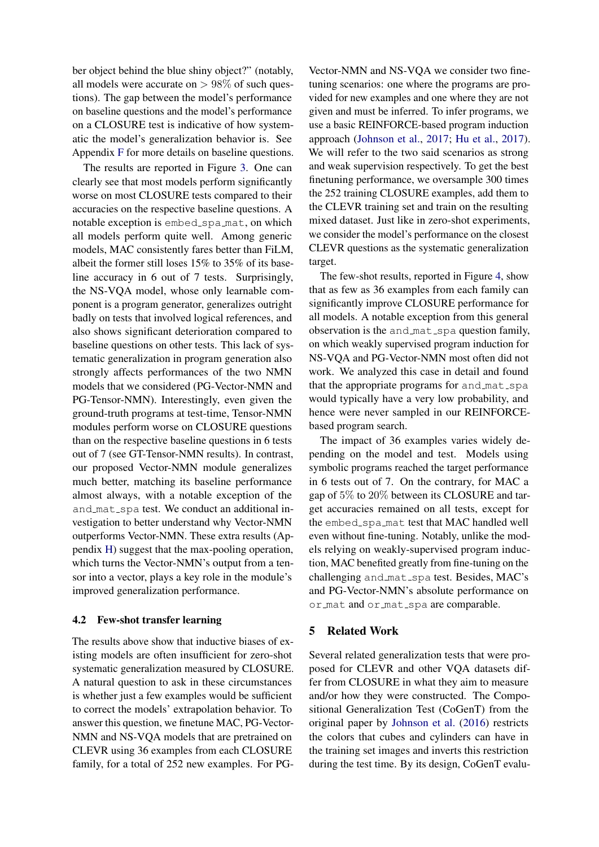ber object behind the blue shiny object?" (notably, all models were accurate on  $> 98\%$  of such questions). The gap between the model's performance on baseline questions and the model's performance on a CLOSURE test is indicative of how systematic the model's generalization behavior is. See Appendix [F](#page-11-0) for more details on baseline questions.

The results are reported in Figure [3.](#page-5-3) One can clearly see that most models perform significantly worse on most CLOSURE tests compared to their accuracies on the respective baseline questions. A notable exception is embed\_spa\_mat, on which all models perform quite well. Among generic models, MAC consistently fares better than FiLM, albeit the former still loses 15% to 35% of its baseline accuracy in 6 out of 7 tests. Surprisingly, the NS-VQA model, whose only learnable component is a program generator, generalizes outright badly on tests that involved logical references, and also shows significant deterioration compared to baseline questions on other tests. This lack of systematic generalization in program generation also strongly affects performances of the two NMN models that we considered (PG-Vector-NMN and PG-Tensor-NMN). Interestingly, even given the ground-truth programs at test-time, Tensor-NMN modules perform worse on CLOSURE questions than on the respective baseline questions in 6 tests out of 7 (see GT-Tensor-NMN results). In contrast, our proposed Vector-NMN module generalizes much better, matching its baseline performance almost always, with a notable exception of the and mat spa test. We conduct an additional investigation to better understand why Vector-NMN outperforms Vector-NMN. These extra results (Appendix [H\)](#page-13-1) suggest that the max-pooling operation, which turns the Vector-NMN's output from a tensor into a vector, plays a key role in the module's improved generalization performance.

#### 4.2 Few-shot transfer learning

The results above show that inductive biases of existing models are often insufficient for zero-shot systematic generalization measured by CLOSURE. A natural question to ask in these circumstances is whether just a few examples would be sufficient to correct the models' extrapolation behavior. To answer this question, we finetune MAC, PG-Vector-NMN and NS-VQA models that are pretrained on CLEVR using 36 examples from each CLOSURE family, for a total of 252 new examples. For PG-

Vector-NMN and NS-VQA we consider two finetuning scenarios: one where the programs are provided for new examples and one where they are not given and must be inferred. To infer programs, we use a basic REINFORCE-based program induction approach [\(Johnson et al.,](#page-8-3) [2017;](#page-8-3) [Hu et al.,](#page-8-12) [2017\)](#page-8-12). We will refer to the two said scenarios as strong and weak supervision respectively. To get the best finetuning performance, we oversample 300 times the 252 training CLOSURE examples, add them to the CLEVR training set and train on the resulting mixed dataset. Just like in zero-shot experiments, we consider the model's performance on the closest CLEVR questions as the systematic generalization target.

The few-shot results, reported in Figure [4,](#page-5-4) show that as few as 36 examples from each family can significantly improve CLOSURE performance for all models. A notable exception from this general observation is the and mat spa question family, on which weakly supervised program induction for NS-VQA and PG-Vector-NMN most often did not work. We analyzed this case in detail and found that the appropriate programs for and mat spa would typically have a very low probability, and hence were never sampled in our REINFORCEbased program search.

The impact of 36 examples varies widely depending on the model and test. Models using symbolic programs reached the target performance in 6 tests out of 7. On the contrary, for MAC a gap of 5% to 20% between its CLOSURE and target accuracies remained on all tests, except for the embed\_spa\_mat test that MAC handled well even without fine-tuning. Notably, unlike the models relying on weakly-supervised program induction, MAC benefited greatly from fine-tuning on the challenging and mat spa test. Besides, MAC's and PG-Vector-NMN's absolute performance on or mat and or mat spa are comparable.

#### 5 Related Work

Several related generalization tests that were proposed for CLEVR and other VQA datasets differ from CLOSURE in what they aim to measure and/or how they were constructed. The Compositional Generalization Test (CoGenT) from the original paper by [Johnson et al.](#page-8-2) [\(2016\)](#page-8-2) restricts the colors that cubes and cylinders can have in the training set images and inverts this restriction during the test time. By its design, CoGenT evalu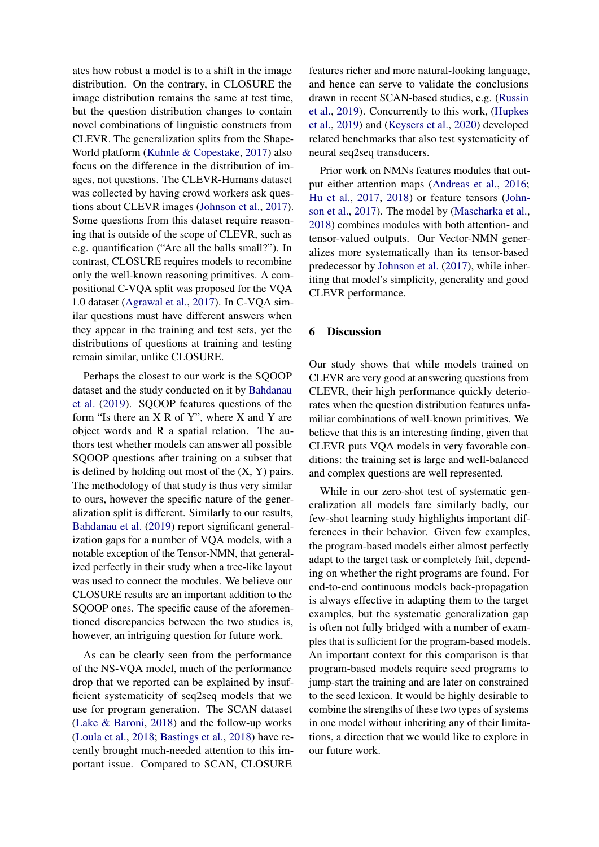ates how robust a model is to a shift in the image distribution. On the contrary, in CLOSURE the image distribution remains the same at test time, but the question distribution changes to contain novel combinations of linguistic constructs from CLEVR. The generalization splits from the Shape-World platform [\(Kuhnle & Copestake,](#page-8-13) [2017\)](#page-8-13) also focus on the difference in the distribution of images, not questions. The CLEVR-Humans dataset was collected by having crowd workers ask questions about CLEVR images [\(Johnson et al.,](#page-8-3) [2017\)](#page-8-3). Some questions from this dataset require reasoning that is outside of the scope of CLEVR, such as e.g. quantification ("Are all the balls small?"). In contrast, CLOSURE requires models to recombine only the well-known reasoning primitives. A compositional C-VQA split was proposed for the VQA 1.0 dataset [\(Agrawal et al.,](#page-8-14) [2017\)](#page-8-14). In C-VQA similar questions must have different answers when they appear in the training and test sets, yet the distributions of questions at training and testing remain similar, unlike CLOSURE.

Perhaps the closest to our work is the SQOOP dataset and the study conducted on it by [Bahdanau](#page-8-7) [et al.](#page-8-7) [\(2019\)](#page-8-7). SQOOP features questions of the form "Is there an X R of Y", where X and Y are object words and R a spatial relation. The authors test whether models can answer all possible SQOOP questions after training on a subset that is defined by holding out most of the  $(X, Y)$  pairs. The methodology of that study is thus very similar to ours, however the specific nature of the generalization split is different. Similarly to our results, [Bahdanau et al.](#page-8-7) [\(2019\)](#page-8-7) report significant generalization gaps for a number of VQA models, with a notable exception of the Tensor-NMN, that generalized perfectly in their study when a tree-like layout was used to connect the modules. We believe our CLOSURE results are an important addition to the SQOOP ones. The specific cause of the aforementioned discrepancies between the two studies is, however, an intriguing question for future work.

As can be clearly seen from the performance of the NS-VQA model, much of the performance drop that we reported can be explained by insufficient systematicity of seq2seq models that we use for program generation. The SCAN dataset [\(Lake & Baroni,](#page-8-6) [2018\)](#page-8-6) and the follow-up works [\(Loula et al.,](#page-9-6) [2018;](#page-9-6) [Bastings et al.,](#page-8-15) [2018\)](#page-8-15) have recently brought much-needed attention to this important issue. Compared to SCAN, CLOSURE

features richer and more natural-looking language, and hence can serve to validate the conclusions drawn in recent SCAN-based studies, e.g. [\(Russin](#page-9-7) [et al.,](#page-9-7) [2019\)](#page-9-7). Concurrently to this work, [\(Hupkes](#page-8-16) [et al.,](#page-8-16) [2019\)](#page-8-16) and [\(Keysers et al.,](#page-8-17) [2020\)](#page-8-17) developed related benchmarks that also test systematicity of neural seq2seq transducers.

Prior work on NMNs features modules that output either attention maps [\(Andreas et al.,](#page-8-8) [2016;](#page-8-8) [Hu et al.,](#page-8-12) [2017,](#page-8-12) [2018\)](#page-8-18) or feature tensors [\(John](#page-8-3)[son et al.,](#page-8-3) [2017\)](#page-8-3). The model by [\(Mascharka et al.,](#page-9-2) [2018\)](#page-9-2) combines modules with both attention- and tensor-valued outputs. Our Vector-NMN generalizes more systematically than its tensor-based predecessor by [Johnson et al.](#page-8-3) [\(2017\)](#page-8-3), while inheriting that model's simplicity, generality and good CLEVR performance.

### 6 Discussion

Our study shows that while models trained on CLEVR are very good at answering questions from CLEVR, their high performance quickly deteriorates when the question distribution features unfamiliar combinations of well-known primitives. We believe that this is an interesting finding, given that CLEVR puts VQA models in very favorable conditions: the training set is large and well-balanced and complex questions are well represented.

While in our zero-shot test of systematic generalization all models fare similarly badly, our few-shot learning study highlights important differences in their behavior. Given few examples, the program-based models either almost perfectly adapt to the target task or completely fail, depending on whether the right programs are found. For end-to-end continuous models back-propagation is always effective in adapting them to the target examples, but the systematic generalization gap is often not fully bridged with a number of examples that is sufficient for the program-based models. An important context for this comparison is that program-based models require seed programs to jump-start the training and are later on constrained to the seed lexicon. It would be highly desirable to combine the strengths of these two types of systems in one model without inheriting any of their limitations, a direction that we would like to explore in our future work.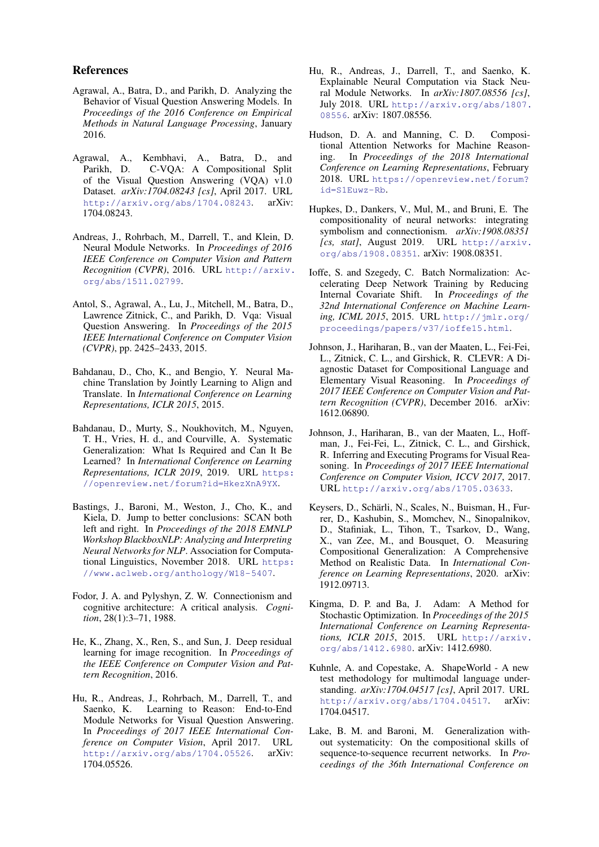#### References

- <span id="page-8-1"></span>Agrawal, A., Batra, D., and Parikh, D. Analyzing the Behavior of Visual Question Answering Models. In *Proceedings of the 2016 Conference on Empirical Methods in Natural Language Processing*, January 2016.
- <span id="page-8-14"></span>Agrawal, A., Kembhavi, A., Batra, D., and Parikh, D. C-VQA: A Compositional Split of the Visual Question Answering (VQA) v1.0 Dataset. *arXiv:1704.08243 [cs]*, April 2017. URL <http://arxiv.org/abs/1704.08243>. arXiv: 1704.08243.
- <span id="page-8-8"></span>Andreas, J., Rohrbach, M., Darrell, T., and Klein, D. Neural Module Networks. In *Proceedings of 2016 IEEE Conference on Computer Vision and Pattern Recognition (CVPR)*, 2016. URL [http://arxiv.](http://arxiv.org/abs/1511.02799) [org/abs/1511.02799](http://arxiv.org/abs/1511.02799).
- <span id="page-8-0"></span>Antol, S., Agrawal, A., Lu, J., Mitchell, M., Batra, D., Lawrence Zitnick, C., and Parikh, D. Vqa: Visual Question Answering. In *Proceedings of the 2015 IEEE International Conference on Computer Vision (CVPR)*, pp. 2425–2433, 2015.
- <span id="page-8-9"></span>Bahdanau, D., Cho, K., and Bengio, Y. Neural Machine Translation by Jointly Learning to Align and Translate. In *International Conference on Learning Representations, ICLR 2015*, 2015.
- <span id="page-8-7"></span>Bahdanau, D., Murty, S., Noukhovitch, M., Nguyen, T. H., Vries, H. d., and Courville, A. Systematic Generalization: What Is Required and Can It Be Learned? In *International Conference on Learning Representations, ICLR 2019*, 2019. URL [https:](https://openreview.net/forum?id=HkezXnA9YX) [//openreview.net/forum?id=HkezXnA9YX](https://openreview.net/forum?id=HkezXnA9YX).
- <span id="page-8-15"></span>Bastings, J., Baroni, M., Weston, J., Cho, K., and Kiela, D. Jump to better conclusions: SCAN both left and right. In *Proceedings of the 2018 EMNLP Workshop BlackboxNLP: Analyzing and Interpreting Neural Networks for NLP*. Association for Computational Linguistics, November 2018. URL [https:](https://www.aclweb.org/anthology/W18-5407) [//www.aclweb.org/anthology/W18-5407](https://www.aclweb.org/anthology/W18-5407).
- <span id="page-8-5"></span>Fodor, J. A. and Pylyshyn, Z. W. Connectionism and cognitive architecture: A critical analysis. *Cognition*, 28(1):3–71, 1988.
- <span id="page-8-10"></span>He, K., Zhang, X., Ren, S., and Sun, J. Deep residual learning for image recognition. In *Proceedings of the IEEE Conference on Computer Vision and Pattern Recognition*, 2016.
- <span id="page-8-12"></span>Hu, R., Andreas, J., Rohrbach, M., Darrell, T., and Saenko, K. Learning to Reason: End-to-End Module Networks for Visual Question Answering. In *Proceedings of 2017 IEEE International Conference on Computer Vision*, April 2017. URL <http://arxiv.org/abs/1704.05526>. arXiv: 1704.05526.
- <span id="page-8-18"></span>Hu, R., Andreas, J., Darrell, T., and Saenko, K. Explainable Neural Computation via Stack Neural Module Networks. In *arXiv:1807.08556 [cs]*, July 2018. URL [http://arxiv.org/abs/1807.](http://arxiv.org/abs/1807.08556) [08556](http://arxiv.org/abs/1807.08556). arXiv: 1807.08556.
- <span id="page-8-4"></span>Hudson, D. A. and Manning, C. D. Compositional Attention Networks for Machine Reasoning. In *Proceedings of the 2018 International Conference on Learning Representations*, February 2018. URL [https://openreview.net/forum?](https://openreview.net/forum?id=S1Euwz-Rb) [id=S1Euwz-Rb](https://openreview.net/forum?id=S1Euwz-Rb).
- <span id="page-8-16"></span>Hupkes, D., Dankers, V., Mul, M., and Bruni, E. The compositionality of neural networks: integrating symbolism and connectionism. *arXiv:1908.08351 [cs, stat]*, August 2019. URL [http://arxiv.](http://arxiv.org/abs/1908.08351) [org/abs/1908.08351](http://arxiv.org/abs/1908.08351). arXiv: 1908.08351.
- <span id="page-8-11"></span>Ioffe, S. and Szegedy, C. Batch Normalization: Accelerating Deep Network Training by Reducing Internal Covariate Shift. In *Proceedings of the 32nd International Conference on Machine Learning, ICML 2015*, 2015. URL [http://jmlr.org/](http://jmlr.org/proceedings/papers/v37/ioffe15.html) [proceedings/papers/v37/ioffe15.html](http://jmlr.org/proceedings/papers/v37/ioffe15.html).
- <span id="page-8-2"></span>Johnson, J., Hariharan, B., van der Maaten, L., Fei-Fei, L., Zitnick, C. L., and Girshick, R. CLEVR: A Diagnostic Dataset for Compositional Language and Elementary Visual Reasoning. In *Proceedings of 2017 IEEE Conference on Computer Vision and Pattern Recognition (CVPR)*, December 2016. arXiv: 1612.06890.
- <span id="page-8-3"></span>Johnson, J., Hariharan, B., van der Maaten, L., Hoffman, J., Fei-Fei, L., Zitnick, C. L., and Girshick, R. Inferring and Executing Programs for Visual Reasoning. In *Proceedings of 2017 IEEE International Conference on Computer Vision, ICCV 2017*, 2017. URL <http://arxiv.org/abs/1705.03633>.
- <span id="page-8-17"></span>Keysers, D., Schärli, N., Scales, N., Buisman, H., Furrer, D., Kashubin, S., Momchev, N., Sinopalnikov, D., Stafiniak, L., Tihon, T., Tsarkov, D., Wang, X., van Zee, M., and Bousquet, O. Measuring Compositional Generalization: A Comprehensive Method on Realistic Data. In *International Conference on Learning Representations*, 2020. arXiv: 1912.09713.
- <span id="page-8-19"></span>Kingma, D. P. and Ba, J. Adam: A Method for Stochastic Optimization. In *Proceedings of the 2015 International Conference on Learning Representations, ICLR 2015*, 2015. URL [http://arxiv.](http://arxiv.org/abs/1412.6980) [org/abs/1412.6980](http://arxiv.org/abs/1412.6980). arXiv: 1412.6980.
- <span id="page-8-13"></span>Kuhnle, A. and Copestake, A. ShapeWorld - A new test methodology for multimodal language understanding. *arXiv:1704.04517 [cs]*, April 2017. URL <http://arxiv.org/abs/1704.04517>. arXiv: 1704.04517.
- <span id="page-8-6"></span>Lake, B. M. and Baroni, M. Generalization without systematicity: On the compositional skills of sequence-to-sequence recurrent networks. In *Proceedings of the 36th International Conference on*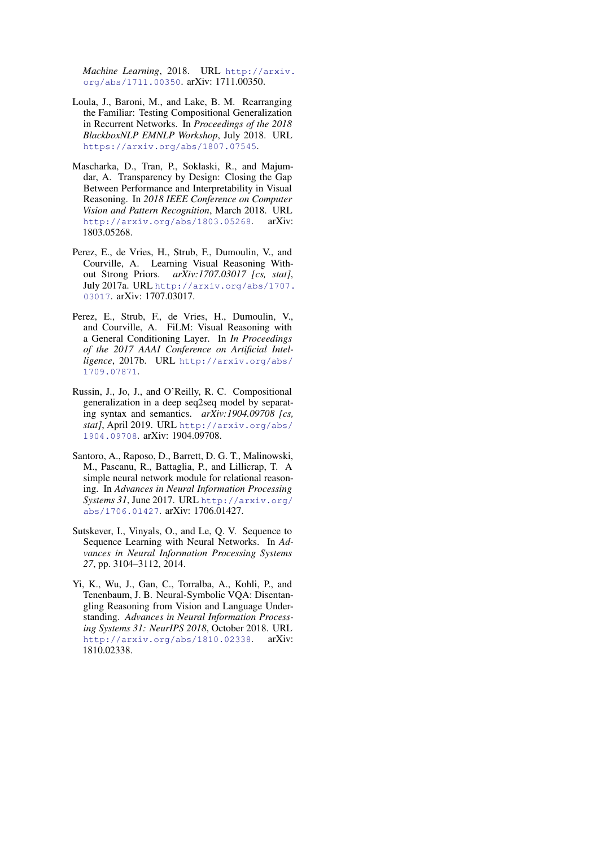*Machine Learning*, 2018. URL [http://arxiv.](http://arxiv.org/abs/1711.00350) [org/abs/1711.00350](http://arxiv.org/abs/1711.00350). arXiv: 1711.00350.

- <span id="page-9-6"></span>Loula, J., Baroni, M., and Lake, B. M. Rearranging the Familiar: Testing Compositional Generalization in Recurrent Networks. In *Proceedings of the 2018 BlackboxNLP EMNLP Workshop*, July 2018. URL <https://arxiv.org/abs/1807.07545>.
- <span id="page-9-2"></span>Mascharka, D., Tran, P., Soklaski, R., and Majumdar, A. Transparency by Design: Closing the Gap Between Performance and Interpretability in Visual Reasoning. In *2018 IEEE Conference on Computer Vision and Pattern Recognition*, March 2018. URL <http://arxiv.org/abs/1803.05268>. arXiv: 1803.05268.
- <span id="page-9-1"></span>Perez, E., de Vries, H., Strub, F., Dumoulin, V., and Courville, A. Learning Visual Reasoning Without Strong Priors. *arXiv:1707.03017 [cs, stat]*, July 2017a. URL [http://arxiv.org/abs/1707.](http://arxiv.org/abs/1707.03017) [03017](http://arxiv.org/abs/1707.03017). arXiv: 1707.03017.
- <span id="page-9-5"></span>Perez, E., Strub, F., de Vries, H., Dumoulin, V., and Courville, A. FiLM: Visual Reasoning with a General Conditioning Layer. In *In Proceedings of the 2017 AAAI Conference on Artificial Intelligence*, 2017b. URL [http://arxiv.org/abs/](http://arxiv.org/abs/1709.07871) [1709.07871](http://arxiv.org/abs/1709.07871).
- <span id="page-9-7"></span>Russin, J., Jo, J., and O'Reilly, R. C. Compositional generalization in a deep seq2seq model by separating syntax and semantics. *arXiv:1904.09708 [cs, stat]*, April 2019. URL [http://arxiv.org/abs/](http://arxiv.org/abs/1904.09708) [1904.09708](http://arxiv.org/abs/1904.09708). arXiv: 1904.09708.
- <span id="page-9-0"></span>Santoro, A., Raposo, D., Barrett, D. G. T., Malinowski, M., Pascanu, R., Battaglia, P., and Lillicrap, T. A simple neural network module for relational reasoning. In *Advances in Neural Information Processing Systems 31*, June 2017. URL [http://arxiv.org/](http://arxiv.org/abs/1706.01427) [abs/1706.01427](http://arxiv.org/abs/1706.01427). arXiv: 1706.01427.
- <span id="page-9-4"></span>Sutskever, I., Vinyals, O., and Le, Q. V. Sequence to Sequence Learning with Neural Networks. In *Advances in Neural Information Processing Systems 27*, pp. 3104–3112, 2014.
- <span id="page-9-3"></span>Yi, K., Wu, J., Gan, C., Torralba, A., Kohli, P., and Tenenbaum, J. B. Neural-Symbolic VQA: Disentangling Reasoning from Vision and Language Understanding. *Advances in Neural Information Processing Systems 31: NeurIPS 2018*, October 2018. URL <http://arxiv.org/abs/1810.02338>. arXiv: 1810.02338.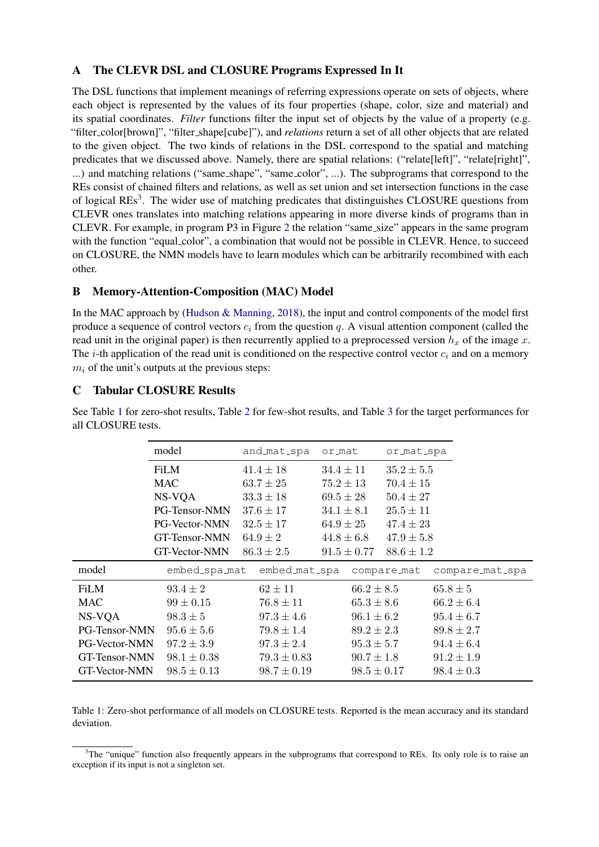# <span id="page-10-0"></span>A The CLEVR DSL and CLOSURE Programs Expressed In It

The DSL functions that implement meanings of referring expressions operate on sets of objects, where each object is represented by the values of its four properties (shape, color, size and material) and its spatial coordinates. *Filter* functions filter the input set of objects by the value of a property (e.g. "filter color[brown]", "filter shape[cube]"), and *relations* return a set of all other objects that are related to the given object. The two kinds of relations in the DSL correspond to the spatial and matching predicates that we discussed above. Namely, there are spatial relations: ("relate[left]", "relate[right]", ...) and matching relations ("same\_shape", "same\_color", ...). The subprograms that correspond to the REs consist of chained filters and relations, as well as set union and set intersection functions in the case of logical REs<sup>[3](#page-10-3)</sup>. The wider use of matching predicates that distinguishes CLOSURE questions from CLEVR ones translates into matching relations appearing in more diverse kinds of programs than in CLEVR. For example, in program P3 in Figure [2](#page-1-0) the relation "same size" appears in the same program with the function "equal color", a combination that would not be possible in CLEVR. Hence, to succeed on CLOSURE, the NMN models have to learn modules which can be arbitrarily recombined with each other.

## <span id="page-10-1"></span>B Memory-Attention-Composition (MAC) Model

In the MAC approach by [\(Hudson & Manning,](#page-8-4) [2018\)](#page-8-4), the input and control components of the model first produce a sequence of control vectors  $c_i$  from the question q. A visual attention component (called the read unit in the original paper) is then recurrently applied to a preprocessed version  $h_x$  of the image x. The *i*-th application of the read unit is conditioned on the respective control vector  $c_i$  and on a memory  $m<sub>i</sub>$  of the unit's outputs at the previous steps:

# <span id="page-10-2"></span>C Tabular CLOSURE Results

<span id="page-10-4"></span>

|                      | model                | and_mat_spa     | or_mat          | or_mat_spa     |                 |
|----------------------|----------------------|-----------------|-----------------|----------------|-----------------|
|                      | <b>FiLM</b>          | $41.4 \pm 18$   | $34.4 \pm 11$   | $35.2 \pm 5.5$ |                 |
|                      | MAC                  | $63.7 \pm 25$   | $75.2 \pm 13$   | $70.4 \pm 15$  |                 |
|                      | NS-VQA               | $33.3 \pm 18$   | $69.5 \pm 28$   | $50.4 \pm 27$  |                 |
|                      | PG-Tensor-NMN        | $37.6 \pm 17$   | $34.1 \pm 8.1$  | $25.5 \pm 11$  |                 |
|                      | <b>PG-Vector-NMN</b> | $32.5 \pm 17$   | $64.9 \pm 25$   | $47.4 \pm 23$  |                 |
|                      | GT-Tensor-NMN        | $64.9 \pm 2$    | $44.8 \pm 6.8$  | $47.9 \pm 5.8$ |                 |
|                      | GT-Vector-NMN        | $86.3 \pm 2.5$  | $91.5 \pm 0.77$ | $88.6 \pm 1.2$ |                 |
|                      |                      |                 |                 |                |                 |
| model                | embed_spa_mat        | embed_mat_spa   |                 | compare_mat    | compare_mat_spa |
| <b>FiLM</b>          | $93.4 \pm 2$         | $62 \pm 11$     | $66.2 \pm 8.5$  |                | $65.8 \pm 5$    |
| MAC                  | $99 \pm 0.15$        | $76.8 \pm 11$   | $65.3 \pm 8.6$  |                | $66.2 \pm 6.4$  |
| NS-VQA               | $98.3 \pm 5$         | $97.3 \pm 4.6$  | $96.1 \pm 6.2$  |                | $95.4 \pm 6.7$  |
| PG-Tensor-NMN        | $95.6 \pm 5.6$       | $79.8 \pm 1.4$  | $89.2 \pm 2.3$  |                | $89.8 \pm 2.7$  |
| <b>PG-Vector-NMN</b> | $97.2 \pm 3.9$       | $97.3 \pm 2.4$  | $95.3 \pm 5.7$  |                | $94.4 \pm 6.4$  |
| GT-Tensor-NMN        | $98.1 \pm 0.38$      | $79.3 \pm 0.83$ | $90.7 \pm 1.8$  |                | $91.2 \pm 1.9$  |

See Table [1](#page-10-4) for zero-shot results, Table [2](#page-11-1) for few-shot results, and Table [3](#page-12-0) for the target performances for all CLOSURE tests.

Table 1: Zero-shot performance of all models on CLOSURE tests. Reported is the mean accuracy and its standard deviation.

<span id="page-10-3"></span> $3$ The "unique" function also frequently appears in the subprograms that correspond to REs. Its only role is to raise an exception if its input is not a singleton set.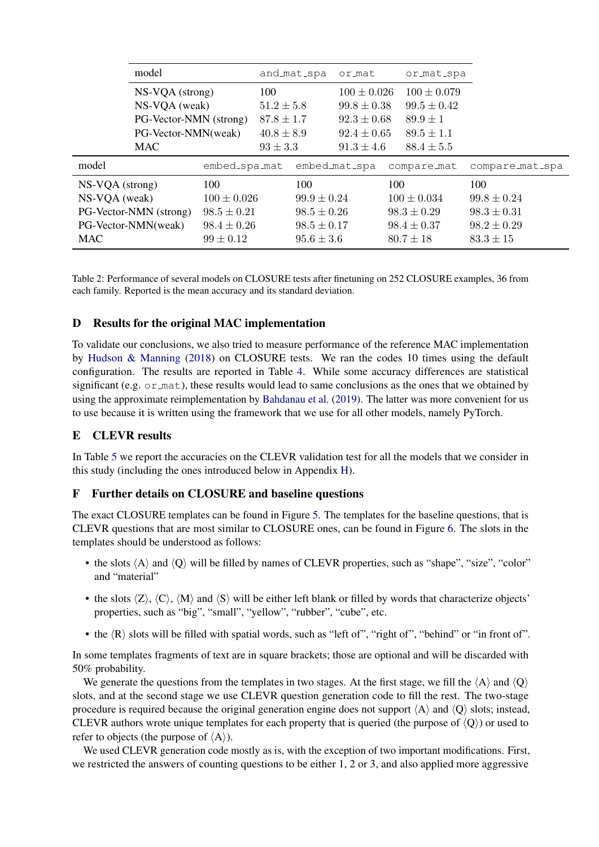<span id="page-11-1"></span>

| model                  |                        |              | and_mat_spa<br>ormat | or_mat_spa      |                 |
|------------------------|------------------------|--------------|----------------------|-----------------|-----------------|
|                        | $NS-VQA$ (strong)      |              | $100 \pm 0.026$      | $100 \pm 0.079$ |                 |
|                        | NS-VQA (weak)          |              | $99.8 \pm 0.38$      | $99.5 \pm 0.42$ |                 |
|                        | PG-Vector-NMN (strong) |              | $92.3 \pm 0.68$      | $89.9 \pm 1$    |                 |
|                        | PG-Vector-NMN(weak)    |              | $92.4 \pm 0.65$      | $89.5 \pm 1.1$  |                 |
| <b>MAC</b>             |                        | $93 \pm 3.3$ | $91.3 \pm 4.6$       | $88.4 \pm 5.5$  |                 |
|                        |                        |              |                      |                 |                 |
| model                  | embed_spa_mat          |              | embed_mat_spa        | compare_mat     | compare_mat_spa |
| NS-VQA (strong)        | 100                    | 100          |                      | 100             | 100             |
| NS-VQA (weak)          | $100 \pm 0.026$        |              | $99.9 \pm 0.24$      | $100 \pm 0.034$ | $99.8 \pm 0.24$ |
| PG-Vector-NMN (strong) | $98.5 \pm 0.21$        |              | $98.5 \pm 0.26$      | $98.3 \pm 0.29$ | $98.3 \pm 0.31$ |
| PG-Vector-NMN(weak)    | $98.4 \pm 0.26$        |              | $98.5 \pm 0.17$      | $98.4 \pm 0.37$ | $98.2 \pm 0.29$ |

Table 2: Performance of several models on CLOSURE tests after finetuning on 252 CLOSURE examples, 36 from each family. Reported is the mean accuracy and its standard deviation.

## D Results for the original MAC implementation

To validate our conclusions, we also tried to measure performance of the reference MAC implementation by [Hudson & Manning](#page-8-4) [\(2018\)](#page-8-4) on CLOSURE tests. We ran the codes 10 times using the default configuration. The results are reported in Table [4.](#page-12-1) While some accuracy differences are statistical significant (e.g. or mat), these results would lead to same conclusions as the ones that we obtained by using the approximate reimplementation by [Bahdanau et al.](#page-8-7) [\(2019\)](#page-8-7). The latter was more convenient for us to use because it is written using the framework that we use for all other models, namely PyTorch.

## E CLEVR results

In Table [5](#page-13-2) we report the accuracies on the CLEVR validation test for all the models that we consider in this study (including the ones introduced below in Appendix [H\)](#page-13-1).

### <span id="page-11-0"></span>F Further details on CLOSURE and baseline questions

The exact CLOSURE templates can be found in Figure [5.](#page-13-3) The templates for the baseline questions, that is CLEVR questions that are most similar to CLOSURE ones, can be found in Figure [6.](#page-14-0) The slots in the templates should be understood as follows:

- the slots  $\langle A \rangle$  and  $\langle Q \rangle$  will be filled by names of CLEVR properties, such as "shape", "size", "color" and "material"
- the slots  $\langle Z \rangle$ ,  $\langle C \rangle$ ,  $\langle M \rangle$  and  $\langle S \rangle$  will be either left blank or filled by words that characterize objects' properties, such as "big", "small", "yellow", "rubber", "cube", etc.
- the  $\langle R \rangle$  slots will be filled with spatial words, such as "left of", "right of", "behind" or "in front of".

In some templates fragments of text are in square brackets; those are optional and will be discarded with 50% probability.

We generate the questions from the templates in two stages. At the first stage, we fill the  $\langle A \rangle$  and  $\langle O \rangle$ slots, and at the second stage we use CLEVR question generation code to fill the rest. The two-stage procedure is required because the original generation engine does not support  $\langle A \rangle$  and  $\langle Q \rangle$  slots; instead, CLEVR authors wrote unique templates for each property that is queried (the purpose of  $\langle Q \rangle$ ) or used to refer to objects (the purpose of  $\langle A \rangle$ ).

We used CLEVR generation code mostly as is, with the exception of two important modifications. First, we restricted the answers of counting questions to be either 1, 2 or 3, and also applied more aggressive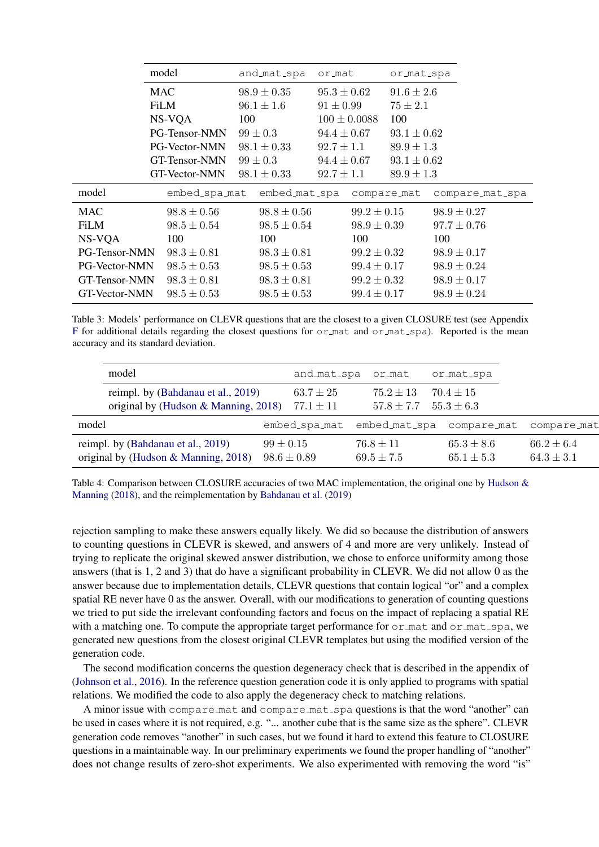<span id="page-12-0"></span>

|                      | model                | and_mat_spa     | or_mat           | or_mat_spa      |                 |
|----------------------|----------------------|-----------------|------------------|-----------------|-----------------|
|                      | <b>MAC</b>           | $98.9 \pm 0.35$ | $95.3 \pm 0.62$  | $91.6 \pm 2.6$  |                 |
|                      | FiLM                 | $96.1 \pm 1.6$  | $91 \pm 0.99$    | $75 \pm 2.1$    |                 |
|                      | NS-VOA               |                 | $100 \pm 0.0088$ | 100             |                 |
|                      | PG-Tensor-NMN        | $99 \pm 0.3$    | $94.4 \pm 0.67$  | $93.1 \pm 0.62$ |                 |
|                      | PG-Vector-NMN        | $98.1 \pm 0.33$ | $92.7 \pm 1.1$   | $89.9 \pm 1.3$  |                 |
|                      | <b>GT-Tensor-NMN</b> | $99 \pm 0.3$    | $94.4 \pm 0.67$  | $93.1 \pm 0.62$ |                 |
|                      | GT-Vector-NMN        | $98.1 \pm 0.33$ | $92.7 \pm 1.1$   | $89.9 \pm 1.3$  |                 |
|                      |                      |                 |                  |                 |                 |
| model                | embed_spa_mat        | embed_mat_spa   |                  | compare_mat     | compare_mat_spa |
| <b>MAC</b>           | $98.8 \pm 0.56$      | $98.8 \pm 0.56$ | $99.2 \pm 0.15$  |                 | $98.9 \pm 0.27$ |
| <b>FiLM</b>          | $98.5 \pm 0.54$      | $98.5 \pm 0.54$ | $98.9 \pm 0.39$  |                 | $97.7 \pm 0.76$ |
| NS-VQA               | 100                  | 100             | 100              |                 | 100             |
| PG-Tensor-NMN        | $98.3 \pm 0.81$      | $98.3 \pm 0.81$ | $99.2 \pm 0.32$  |                 | $98.9 \pm 0.17$ |
| <b>PG-Vector-NMN</b> | $98.5 \pm 0.53$      | $98.5 \pm 0.53$ | $99.4 \pm 0.17$  |                 | $98.9 \pm 0.24$ |
| GT-Tensor-NMN        | $98.3 \pm 0.81$      | $98.3 \pm 0.81$ | $99.2 \pm 0.32$  |                 | $98.9 \pm 0.17$ |

Table 3: Models' performance on CLEVR questions that are the closest to a given CLOSURE test (see Appendix [F](#page-11-0) for additional details regarding the closest questions for  $\sigma$  mat and  $\sigma$  mat spa). Reported is the mean accuracy and its standard deviation.

<span id="page-12-1"></span>

| model                                                                         | and_mat_spa                      | or_mat                          | or_mat_spa                       |                                  |
|-------------------------------------------------------------------------------|----------------------------------|---------------------------------|----------------------------------|----------------------------------|
| reimpl. by (Bahdanau et al., 2019)                                            | $63.7 \pm 25$                    | $75.2 \pm 13$                   | $70.4 \pm 15$                    |                                  |
| original by (Hudson & Manning, 2018)                                          | $77.1 \pm 11$                    | $57.8 \pm 7.7$                  | $55.3 \pm 6.3$                   |                                  |
| model                                                                         | embed_spa_mat embed_mat_spa      |                                 | compare_mat                      | compare_mat                      |
| reimpl. by (Bahdanau et al., 2019)<br>original by (Hudson $\&$ Manning, 2018) | $99 \pm 0.15$<br>$98.6 \pm 0.89$ | $76.8 \pm 11$<br>$69.5 \pm 7.5$ | $65.3 \pm 8.6$<br>$65.1 \pm 5.3$ | $66.2 \pm 6.4$<br>$64.3 \pm 3.1$ |
|                                                                               |                                  |                                 |                                  |                                  |

Table 4: Comparison between CLOSURE accuracies of two MAC implementation, the original one by [Hudson &](#page-8-4) [Manning](#page-8-4) [\(2018\)](#page-8-4), and the reimplementation by [Bahdanau et al.](#page-8-7) [\(2019\)](#page-8-7)

rejection sampling to make these answers equally likely. We did so because the distribution of answers to counting questions in CLEVR is skewed, and answers of 4 and more are very unlikely. Instead of trying to replicate the original skewed answer distribution, we chose to enforce uniformity among those answers (that is 1, 2 and 3) that do have a significant probability in CLEVR. We did not allow 0 as the answer because due to implementation details, CLEVR questions that contain logical "or" and a complex spatial RE never have 0 as the answer. Overall, with our modifications to generation of counting questions we tried to put side the irrelevant confounding factors and focus on the impact of replacing a spatial RE with a matching one. To compute the appropriate target performance for  $\sigma r$  mat and  $\sigma r$  mat spa, we generated new questions from the closest original CLEVR templates but using the modified version of the generation code.

The second modification concerns the question degeneracy check that is described in the appendix of [\(Johnson et al.,](#page-8-2) [2016\)](#page-8-2). In the reference question generation code it is only applied to programs with spatial relations. We modified the code to also apply the degeneracy check to matching relations.

A minor issue with compare mat and compare mat spa questions is that the word "another" can be used in cases where it is not required, e.g. "... another cube that is the same size as the sphere". CLEVR generation code removes "another" in such cases, but we found it hard to extend this feature to CLOSURE questions in a maintainable way. In our preliminary experiments we found the proper handling of "another" does not change results of zero-shot experiments. We also experimented with removing the word "is"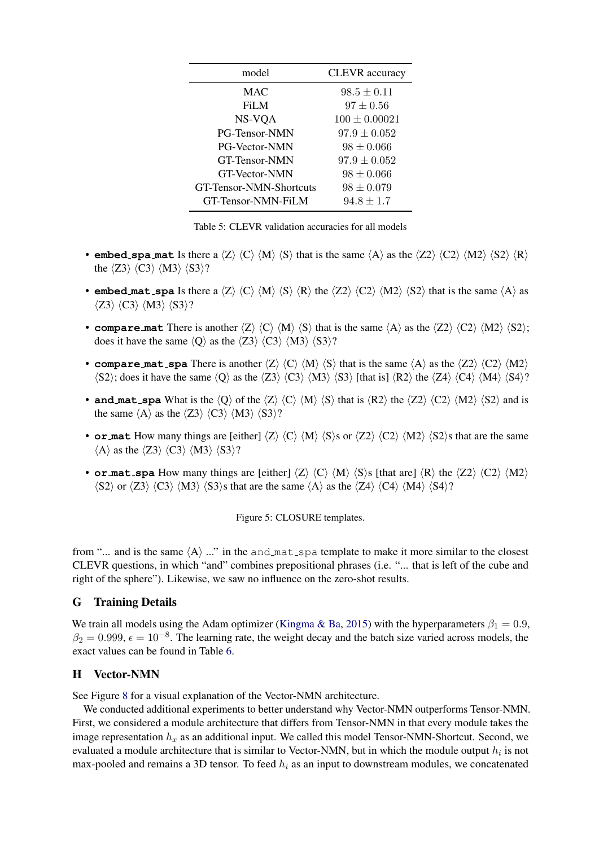<span id="page-13-2"></span>

| model                     | <b>CLEVR</b> accuracy |
|---------------------------|-----------------------|
| <b>MAC</b>                | $98.5 \pm 0.11$       |
| FiLM                      | $97 \pm 0.56$         |
| NS-VQA                    | $100 \pm 0.00021$     |
| PG-Tensor-NMN             | $97.9 \pm 0.052$      |
| <b>PG-Vector-NMN</b>      | $98 \pm 0.066$        |
| <b>GT-Tensor-NMN</b>      | $97.9 \pm 0.052$      |
| <b>GT-Vector-NMN</b>      | $98 \pm 0.066$        |
| GT-Tensor-NMN-Shortcuts   | $98 \pm 0.079$        |
| <b>GT-Tensor-NMN-FiLM</b> | $94.8 \pm 1.7$        |

Table 5: CLEVR validation accuracies for all models

- <span id="page-13-3"></span>• **embed\_spa\_mat** Is there a  $\langle Z \rangle \langle C \rangle \langle M \rangle \langle S \rangle$  that is the same  $\langle A \rangle$  as the  $\langle Z2 \rangle \langle C2 \rangle \langle M2 \rangle \langle S2 \rangle \langle R \rangle$ the  $\langle Z3 \rangle$   $\langle C3 \rangle$   $\langle M3 \rangle$   $\langle S3 \rangle$ ?
- **embed\_mat\_spa** Is there a  $\langle Z \rangle \langle C \rangle \langle M \rangle \langle S \rangle \langle R \rangle$  the  $\langle Z2 \rangle \langle C2 \rangle \langle M2 \rangle \langle S2 \rangle$  that is the same  $\langle A \rangle$  as  $\langle Z3 \rangle$   $\langle C3 \rangle$   $\langle M3 \rangle$   $\langle S3 \rangle$ ?
- **compare mat** There is another  $\langle Z \rangle \langle C \rangle \langle M \rangle \langle S \rangle$  that is the same  $\langle A \rangle$  as the  $\langle Z2 \rangle \langle C2 \rangle \langle M2 \rangle \langle S2 \rangle$ ; does it have the same  $\langle Q \rangle$  as the  $\langle Z3 \rangle$   $\langle C3 \rangle$   $\langle M3 \rangle$   $\langle S3 \rangle$ ?
- **compare mat** spa There is another  $\langle Z \rangle \langle C \rangle \langle M \rangle \langle S \rangle$  that is the same  $\langle A \rangle$  as the  $\langle Z2 \rangle \langle C2 \rangle \langle M2 \rangle$  $\langle S2 \rangle$ ; does it have the same  $\langle Q \rangle$  as the  $\langle Z3 \rangle$   $\langle C3 \rangle$   $\langle M3 \rangle$   $\langle S3 \rangle$  [that is]  $\langle R2 \rangle$  the  $\langle Z4 \rangle$   $\langle C4 \rangle$   $\langle M4 \rangle$   $\langle S4 \rangle$ ?
- **and mat** spa What is the  $\langle Q \rangle$  of the  $\langle Z \rangle$   $\langle C \rangle$   $\langle M \rangle$   $\langle S \rangle$  that is  $\langle R2 \rangle$  the  $\langle Z2 \rangle$   $\langle C2 \rangle$   $\langle M2 \rangle$   $\langle S2 \rangle$  and is the same  $\langle A \rangle$  as the  $\langle Z3 \rangle$   $\langle C3 \rangle$   $\langle M3 \rangle$   $\langle S3 \rangle$ ?
- **or mat** How many things are [either]  $\langle Z \rangle \langle C \rangle \langle M \rangle \langle S \rangle$ s or  $\langle Z \rangle \langle C \rangle \langle M \rangle \langle S \rangle$ s that are the same  $\langle A \rangle$  as the  $\langle Z3 \rangle$   $\langle C3 \rangle$   $\langle M3 \rangle$   $\langle S3 \rangle$ ?
- **or mat** spa How many things are [either]  $\langle Z \rangle \langle C \rangle \langle M \rangle \langle S \rangle$  [that are]  $\langle R \rangle$  the  $\langle Z2 \rangle \langle C2 \rangle \langle M2 \rangle$  $\langle S2 \rangle$  or  $\langle Z3 \rangle$   $\langle C3 \rangle$   $\langle M3 \rangle$   $\langle S3 \rangle$ s that are the same  $\langle A \rangle$  as the  $\langle Z4 \rangle$   $\langle C4 \rangle$   $\langle M4 \rangle$   $\langle S4 \rangle$ ?

Figure 5: CLOSURE templates.

from "... and is the same  $\langle A \rangle$  ..." in the and mat spa template to make it more similar to the closest CLEVR questions, in which "and" combines prepositional phrases (i.e. "... that is left of the cube and right of the sphere"). Likewise, we saw no influence on the zero-shot results.

### <span id="page-13-0"></span>G Training Details

We train all models using the Adam optimizer [\(Kingma & Ba,](#page-8-19) [2015\)](#page-8-19) with the hyperparameters  $\beta_1 = 0.9$ ,  $\beta_2 = 0.999$ ,  $\epsilon = 10^{-8}$ . The learning rate, the weight decay and the batch size varied across models, the exact values can be found in Table [6.](#page-14-1)

### <span id="page-13-1"></span>H Vector-NMN

See Figure [8](#page-15-0) for a visual explanation of the Vector-NMN architecture.

We conducted additional experiments to better understand why Vector-NMN outperforms Tensor-NMN. First, we considered a module architecture that differs from Tensor-NMN in that every module takes the image representation  $h_x$  as an additional input. We called this model Tensor-NMN-Shortcut. Second, we evaluated a module architecture that is similar to Vector-NMN, but in which the module output  $h_i$  is not max-pooled and remains a 3D tensor. To feed  $h_i$  as an input to downstream modules, we concatenated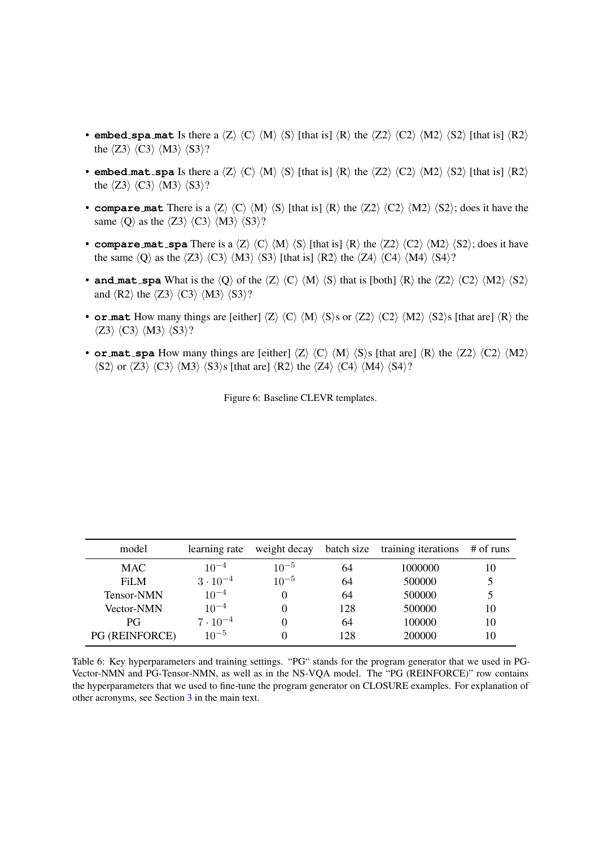- <span id="page-14-0"></span>• **embed\_spa\_mat** Is there a  $\langle Z \rangle \langle C \rangle \langle M \rangle \langle S \rangle$  [that is]  $\langle R \rangle$  the  $\langle Z2 \rangle \langle C2 \rangle \langle M2 \rangle \langle S2 \rangle$  [that is]  $\langle R2 \rangle$ the  $\langle Z3 \rangle$   $\langle C3 \rangle$   $\langle M3 \rangle$   $\langle S3 \rangle$ ?
- **embed mat** spa Is there a  $\langle Z \rangle \langle C \rangle \langle M \rangle \langle S \rangle$  [that is]  $\langle R \rangle$  the  $\langle Z2 \rangle \langle C2 \rangle \langle M2 \rangle \langle S2 \rangle$  [that is]  $\langle R2 \rangle$ the  $\langle Z3 \rangle$   $\langle C3 \rangle$   $\langle M3 \rangle$   $\langle S3 \rangle$ ?
- **compare** mat There is a  $\langle Z \rangle \langle C \rangle \langle M \rangle \langle S \rangle$  [that is]  $\langle R \rangle$  the  $\langle Z2 \rangle \langle C2 \rangle \langle M2 \rangle \langle S2 \rangle$ ; does it have the same  $\langle Q \rangle$  as the  $\langle Z3 \rangle$   $\langle C3 \rangle$   $\langle M3 \rangle$   $\langle S3 \rangle$ ?
- **compare mat spa** There is a  $\langle Z \rangle \langle C \rangle \langle M \rangle \langle S \rangle$  [that is]  $\langle R \rangle$  the  $\langle Z2 \rangle \langle C2 \rangle \langle M2 \rangle \langle S2 \rangle$ ; does it have the same  $\langle Q \rangle$  as the  $\langle Z3 \rangle$   $\langle C3 \rangle$   $\langle M3 \rangle$   $\langle S3 \rangle$  [that is]  $\langle R2 \rangle$  the  $\langle Z4 \rangle$   $\langle C4 \rangle$   $\langle M4 \rangle$   $\langle S4 \rangle$ ?
- **and mat** spa What is the  $\langle Q \rangle$  of the  $\langle Z \rangle$   $\langle C \rangle$   $\langle M \rangle$   $\langle S \rangle$  that is [both]  $\langle R \rangle$  the  $\langle Z2 \rangle$   $\langle C2 \rangle$   $\langle M2 \rangle$   $\langle S2 \rangle$ and  $\langle R2 \rangle$  the  $\langle Z3 \rangle$   $\langle C3 \rangle$   $\langle M3 \rangle$   $\langle S3 \rangle$ ?
- **or mat** How many things are [either]  $\langle Z \rangle \langle C \rangle \langle M \rangle \langle S \rangle$ s or  $\langle Z \rangle \langle C \rangle \langle M \rangle \langle S \rangle$ s [that are]  $\langle R \rangle$  the  $\langle Z3 \rangle$   $\langle C3 \rangle$   $\langle M3 \rangle$   $\langle S3 \rangle$ ?
- **or mat** spa How many things are [either]  $\langle Z \rangle \langle C \rangle \langle M \rangle \langle S \rangle$ s [that are]  $\langle R \rangle$  the  $\langle Z2 \rangle \langle C2 \rangle \langle M2 \rangle$  $\langle S2 \rangle$  or  $\langle Z3 \rangle$   $\langle C3 \rangle$   $\langle M3 \rangle$   $\langle S3 \rangle$ s [that are]  $\langle R2 \rangle$  the  $\langle Z4 \rangle$   $\langle C4 \rangle$   $\langle M4 \rangle$   $\langle S4 \rangle$ ?

Figure 6: Baseline CLEVR templates.

<span id="page-14-1"></span>

| model                 | learning rate     | weight decay | batch size | training iterations | $#$ of runs |
|-----------------------|-------------------|--------------|------------|---------------------|-------------|
| <b>MAC</b>            | $10^{-4}$         | $10^{-5}$    | 64         | 1000000             | 10          |
| FiLM                  | $3 \cdot 10^{-4}$ | $10^{-5}$    | 64         | 500000              |             |
| Tensor-NMN            | $10^{-4}$         |              | 64         | 500000              |             |
| <b>Vector-NMN</b>     | $10^{-4}$         |              | 128        | 500000              | 10          |
| <b>PG</b>             | $7 \cdot 10^{-4}$ |              | 64         | 100000              | 10          |
| <b>PG (REINFORCE)</b> | $10^{-5}$         |              | 128        | 200000              | 10          |

Table 6: Key hyperparameters and training settings. "PG" stands for the program generator that we used in PG-Vector-NMN and PG-Tensor-NMN, as well as in the NS-VQA model. The "PG (REINFORCE)" row contains the hyperparameters that we used to fine-tune the program generator on CLOSURE examples. For explanation of other acronyms, see Section [3](#page-3-0) in the main text.